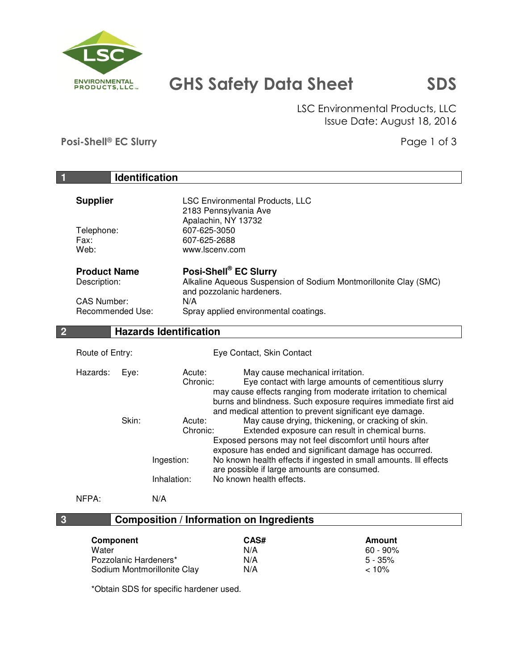

# GHS Safety Data Sheet SDS

 LSC Environmental Products, LLC Issue Date: August 18, 2016

Posi-Shell® EC Slurry **Provide EC Slurry** Page 1 of 3

| $\vert$ 1<br><b>Identification</b>                                                   |                               |                                                                                                                                                                                                                                                                                           |  |  |  |
|--------------------------------------------------------------------------------------|-------------------------------|-------------------------------------------------------------------------------------------------------------------------------------------------------------------------------------------------------------------------------------------------------------------------------------------|--|--|--|
| <b>Supplier</b>                                                                      |                               | <b>LSC Environmental Products, LLC</b><br>2183 Pennsylvania Ave<br>Apalachin, NY 13732<br>607-625-3050<br>607-625-2688<br>www.lscenv.com                                                                                                                                                  |  |  |  |
| Telephone:<br>Fax:<br>Web:                                                           |                               |                                                                                                                                                                                                                                                                                           |  |  |  |
| <b>Product Name</b><br>Description:<br><b>CAS Number:</b><br><b>Recommended Use:</b> | N/A                           | Posi-Shell® EC Slurry<br>Alkaline Aqueous Suspension of Sodium Montmorillonite Clay (SMC)<br>and pozzolanic hardeners.<br>Spray applied environmental coatings.                                                                                                                           |  |  |  |
| $\overline{2}$                                                                       | <b>Hazards Identification</b> |                                                                                                                                                                                                                                                                                           |  |  |  |
| Route of Entry:                                                                      |                               | Eye Contact, Skin Contact                                                                                                                                                                                                                                                                 |  |  |  |
| Hazards:<br>Eye:                                                                     | Acute:<br>Chronic:            | May cause mechanical irritation.<br>Eye contact with large amounts of cementitious slurry<br>may cause effects ranging from moderate irritation to chemical<br>burns and blindness. Such exposure requires immediate first aid                                                            |  |  |  |
| Skin:                                                                                | Acute:<br>Chronic:            | and medical attention to prevent significant eye damage.<br>May cause drying, thickening, or cracking of skin.<br>Extended exposure can result in chemical burns.<br>Exposed persons may not feel discomfort until hours after<br>exposure has ended and significant damage has occurred. |  |  |  |
|                                                                                      | Ingestion:                    | No known health effects if ingested in small amounts. Ill effects                                                                                                                                                                                                                         |  |  |  |
|                                                                                      | Inhalation:                   | are possible if large amounts are consumed.<br>No known health effects.                                                                                                                                                                                                                   |  |  |  |
| NFPA:                                                                                | N/A                           |                                                                                                                                                                                                                                                                                           |  |  |  |
| $\overline{\mathbf{3}}$                                                              |                               | <b>Composition / Information on Ingredients</b>                                                                                                                                                                                                                                           |  |  |  |

| <b>Component</b>            | CAS# | Amount    |
|-----------------------------|------|-----------|
| Water                       | N/A  | 60 - 90%  |
| Pozzolanic Hardeners*       | N/A  | $5 - 35%$ |
| Sodium Montmorillonite Clay | N/A  | $< 10\%$  |

\*Obtain SDS for specific hardener used.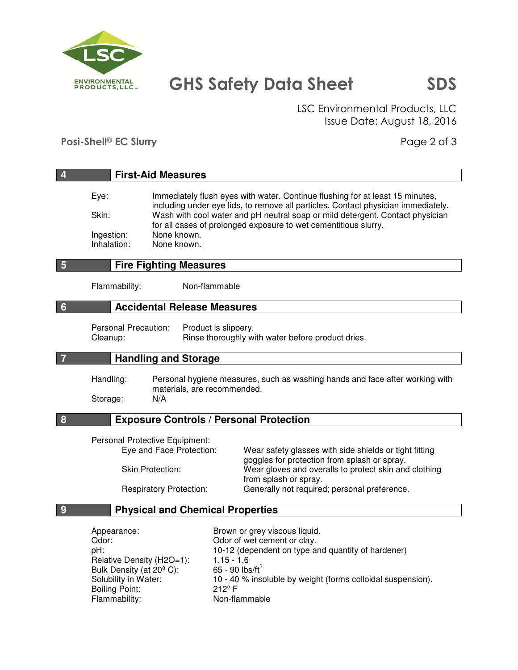

## GHS Safety Data Sheet SDS

 LSC Environmental Products, LLC Issue Date: August 18, 2016

Posi-Shell® EC Slurry **Provides and Provident Provident Provident** Provident Provident Provident Provident Provident Provident Provident Provident Provident Provident Provident Provident Provident Provident Provident Provi

| $\overline{4}$  |                                                                                                                                       | <b>First-Aid Measures</b>                                                                                          |                                                                 |                                                                                                                                                                                                                                                                                                                        |  |  |
|-----------------|---------------------------------------------------------------------------------------------------------------------------------------|--------------------------------------------------------------------------------------------------------------------|-----------------------------------------------------------------|------------------------------------------------------------------------------------------------------------------------------------------------------------------------------------------------------------------------------------------------------------------------------------------------------------------------|--|--|
|                 | Eye:<br>Skin:<br>Ingestion:<br>Inhalation:                                                                                            | None known.<br>None known.                                                                                         |                                                                 | Immediately flush eyes with water. Continue flushing for at least 15 minutes,<br>including under eye lids, to remove all particles. Contact physician immediately.<br>Wash with cool water and pH neutral soap or mild detergent. Contact physician<br>for all cases of prolonged exposure to wet cementitious slurry. |  |  |
| 5               | <b>Fire Fighting Measures</b>                                                                                                         |                                                                                                                    |                                                                 |                                                                                                                                                                                                                                                                                                                        |  |  |
|                 | Flammability:                                                                                                                         |                                                                                                                    | Non-flammable                                                   |                                                                                                                                                                                                                                                                                                                        |  |  |
| $6\phantom{1}6$ |                                                                                                                                       | <b>Accidental Release Measures</b>                                                                                 |                                                                 |                                                                                                                                                                                                                                                                                                                        |  |  |
|                 | Personal Precaution:<br>Cleanup:                                                                                                      |                                                                                                                    | Product is slippery.                                            | Rinse thoroughly with water before product dries.                                                                                                                                                                                                                                                                      |  |  |
| $\overline{7}$  |                                                                                                                                       | <b>Handling and Storage</b>                                                                                        |                                                                 |                                                                                                                                                                                                                                                                                                                        |  |  |
|                 | Handling:<br>Storage:                                                                                                                 | Personal hygiene measures, such as washing hands and face after working with<br>materials, are recommended.<br>N/A |                                                                 |                                                                                                                                                                                                                                                                                                                        |  |  |
| 8               |                                                                                                                                       |                                                                                                                    |                                                                 | <b>Exposure Controls / Personal Protection</b>                                                                                                                                                                                                                                                                         |  |  |
|                 | Personal Protective Equipment:<br>Eye and Face Protection:<br><b>Skin Protection:</b><br><b>Respiratory Protection:</b>               |                                                                                                                    |                                                                 | Wear safety glasses with side shields or tight fitting<br>goggles for protection from splash or spray.<br>Wear gloves and overalls to protect skin and clothing<br>from splash or spray.<br>Generally not required; personal preference.                                                                               |  |  |
| 9               | <b>Physical and Chemical Properties</b>                                                                                               |                                                                                                                    |                                                                 |                                                                                                                                                                                                                                                                                                                        |  |  |
|                 | Appearance:<br>Odor:<br>pH:<br>Relative Density (H2O=1):<br>Bulk Density (at 20° C):<br>Solubility in Water:<br><b>Boiling Point:</b> |                                                                                                                    | $1.15 - 1.6$<br>65 - 90 $\text{lbs/ft}^3$<br>212 <sup>°</sup> F | Brown or grey viscous liquid.<br>Odor of wet cement or clay.<br>10-12 (dependent on type and quantity of hardener)<br>10 - 40 % insoluble by weight (forms colloidal suspension).                                                                                                                                      |  |  |

Boiling Point:<br>
Flammability: Carrier Mon-flammable

Flammability: